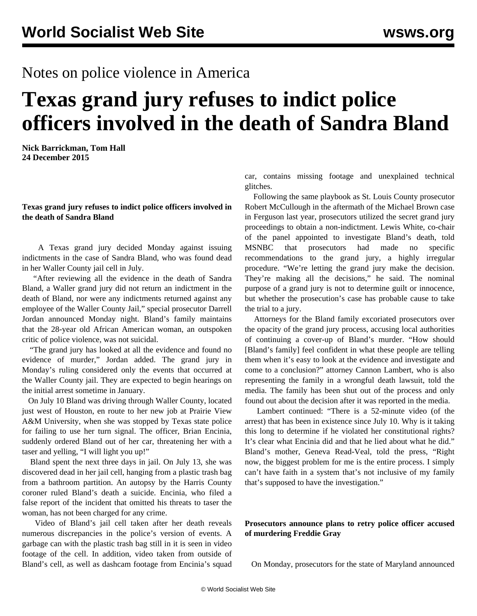## Notes on police violence in America

## **Texas grand jury refuses to indict police officers involved in the death of Sandra Bland**

**Nick Barrickman, Tom Hall 24 December 2015**

## **Texas grand jury refuses to indict police officers involved in the death of Sandra Bland**

 A Texas grand jury decided Monday against issuing indictments in the case of Sandra Bland, who was found dead in her Waller County jail cell in July.

 "After reviewing all the evidence in the death of Sandra Bland, a Waller grand jury did not return an indictment in the death of Bland, nor were any indictments returned against any employee of the Waller County Jail," special prosecutor Darrell Jordan announced Monday night. Bland's family maintains that the 28-year old African American woman, an outspoken critic of police violence, was not suicidal.

 "The grand jury has looked at all the evidence and found no evidence of murder," Jordan added. The grand jury in Monday's ruling considered only the events that occurred at the Waller County jail. They are expected to begin hearings on the initial arrest sometime in January.

 On July 10 Bland was driving through Waller County, located just west of Houston, en route to her new job at Prairie View A&M University, when she was stopped by Texas state police for failing to use her turn signal. The officer, Brian Encinia, suddenly ordered Bland out of her car, threatening her with a taser and yelling, "I will light you up!"

 Bland spent the next three days in jail. On July 13, she was discovered dead in her jail cell, hanging from a plastic trash bag from a bathroom partition. An autopsy by the Harris County coroner ruled Bland's death a suicide. Encinia, who filed a false report of the incident that omitted his threats to taser the woman, has not been charged for any crime.

 Video of Bland's jail cell taken after her death reveals numerous discrepancies in the police's version of events. A garbage can with the plastic trash bag still in it is seen in video footage of the cell. In addition, video taken from outside of Bland's cell, as well as dashcam footage from Encinia's squad

car, contains missing footage and unexplained technical glitches.

 Following the same [playbook](/en/articles/2014/12/03/gran-d03.html) as St. Louis County prosecutor Robert McCullough in the aftermath of the Michael Brown case in Ferguson last year, prosecutors utilized the secret grand jury proceedings to obtain a non-indictment. Lewis White, co-chair of the panel appointed to investigate Bland's death, told MSNBC that prosecutors had made no specific recommendations to the grand jury, a highly irregular procedure. "We're letting the grand jury make the decision. They're making all the decisions," he said. The nominal purpose of a grand jury is not to determine guilt or innocence, but whether the prosecution's case has probable cause to take the trial to a jury.

 Attorneys for the Bland family excoriated prosecutors over the opacity of the grand jury process, accusing local authorities of continuing a cover-up of Bland's murder. "How should [Bland's family] feel confident in what these people are telling them when it's easy to look at the evidence and investigate and come to a conclusion?" attorney Cannon Lambert, who is also representing the family in a wrongful death lawsuit, told the media. The family has been shut out of the process and only found out about the decision after it was reported in the media.

 Lambert continued: "There is a 52-minute video (of the arrest) that has been in existence since July 10. Why is it taking this long to determine if he violated her constitutional rights? It's clear what Encinia did and that he lied about what he did." Bland's mother, Geneva Read-Veal, told the press, "Right now, the biggest problem for me is the entire process. I simply can't have faith in a system that's not inclusive of my family that's supposed to have the investigation."

## **Prosecutors announce plans to retry police officer accused of murdering Freddie Gray**

On Monday, prosecutors for the state of Maryland announced